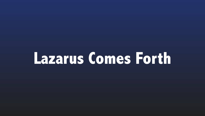## **Lazarus Comes Forth**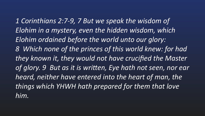*1 Corinthians 2:7-9, 7 But we speak the wisdom of*  Elohim in a mystery, even the hidden wisdom, which *Elohim ordained before the world unto our glory: 8 Which none of the princes of this world knew: for had*  they known it, they would not have crucified the Master of glory. 9 But as it is written, Eye hath not seen, nor ear heard, neither have entered into the heart of man, the things which YHWH hath prepared for them that love *him.*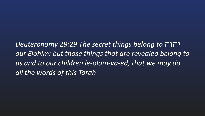*Deuteronomy 29:29 The secret things belong to* יהוה our Elohim: but those things that are revealed belong to us and to our children le-olam-va-ed, that we may do *all the words of this Torah*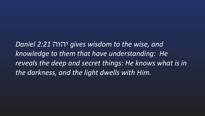*Daniel 2:21* יהוה *gives wisdom to the wise, and knowledge to them that have understanding: He* reveals the deep and secret things: He knows what is in the darkness, and the light dwells with Him.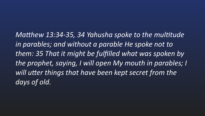*Matthew 13:34-35, 34 Yahusha spoke to the multitude* in parables; and without a parable He spoke not to **them:** 35 That it might be fulfilled what was spoken by the prophet, saying, *I* will open My mouth in parables; I will utter things that have been kept secret from the *days of old.*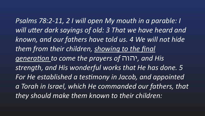Psalms 78:2-11, 2 I will open My mouth in a parable: I will utter dark sayings of old: 3 That we have heard and *known, and our fathers have told us. 4 We will not hide* them from their children, showing to the final *generation to come the prayers of* יהוה *, and His strength, and His wonderful works that He has done.* **5<sup>1</sup>** For He established a testimony in Jacob, and appointed *a Torah in Israel, which He commanded our fathers, that they should make them known to their children:*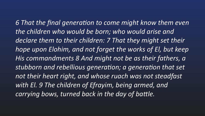6 That the final generation to come might know them even the children who would be born; who would arise and declare them to their children: 7 That they might set their *hope upon Elohim, and not forget the works of El, but keep* His commandments 8 And might not be as their fathers, a stubborn and rebellious generation; a generation that set not their heart right, and whose ruach was not steadfast with El. 9 The children of Efrayim, being armed, and carrying bows, turned back in the day of battle.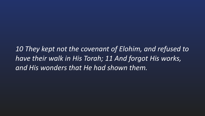*10 They kept not the covenant of Elohim, and refused to have their walk in His Torah; 11 And forgot His works, and His wonders that He had shown them.*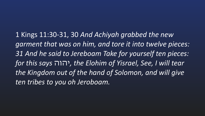1 Kings 11:30-31, 30 And Achiyah grabbed the new garment that was on him, and tore it into twelve pieces: *31 And he said to Jereboam Take for yourself ten pieces: for this says* יהוה*, the Elohim of Yisrael, See, I will tear* the Kingdom out of the hand of Solomon, and will give *ten tribes to you oh Jeroboam.*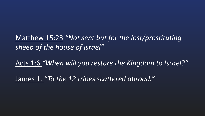Matthew 15:23 "Not sent but for the lost/prostituting *sheep of the house of Israel"* Acts 1:6 "When will you restore the Kingdom to Israel?" James 1. "To the 12 tribes scattered abroad."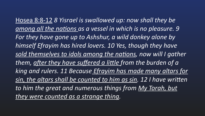Hosea 8:8-12 8 Yisrael is swallowed up: now shall they be among all the nations as a vessel in which is no pleasure. 9 For they have gone up to Ashshur, a wild donkey alone by himself Efrayim has hired lovers. 10 Yes, though they have *sold themselves to idols among the nations, now will I gather* them, after they have suffered a little from the burden of a *king and rulers. 11 Because Efrayim has made many altars for sin, the altars shall be counted to him as sin.* 12 I have written to him the great and numerous things from My Torah, but they were counted as a strange thing.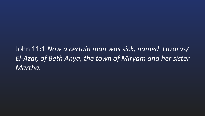John 11:1 *Now a certain man was sick, named Lazarus/* El-Azar, of Beth Anya, the town of Miryam and her sister *Martha.*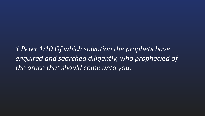1 Peter 1:10 Of which salvation the prophets have enquired and searched diligently, who prophecied of the grace that should come unto you.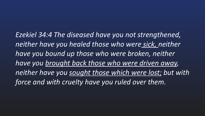*Ezekiel 34:4 The diseased have you not strengthened,*  neither have you healed those who were sick, neither have you bound up those who were broken, neither have you brought back those who were driven away, neither have you sought those which were lost; but with force and with cruelty have you ruled over them.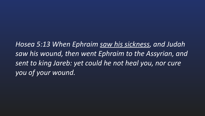*Hosea 5:13 When Ephraim saw his sickness, and Judah*  saw his wound, then went Ephraim to the Assyrian, and sent to king Jareb: yet could he not heal you, nor cure *you of your wound.*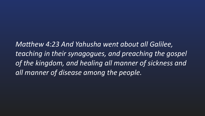*Matthew 4:23 And Yahusha went about all Galilee,* teaching in their synagogues, and preaching the gospel of the kingdom, and healing all manner of sickness and all manner of disease among the people.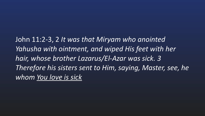John 11:2-3, 2 It was that Miryam who anointed Yahusha with ointment, and wiped His feet with her hair, whose brother Lazarus/El-Azar was sick. 3 *Therefore his sisters sent to Him, saying, Master, see, he* whom You love is sick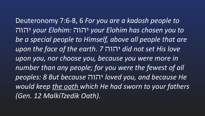Deuteronomy 7:6-8, 6 For you are a kadosh people to יהוה *your Elohim:* יהוה *your Elohim has chosen you to* be a special people to Himself, above all people that are *upon the face of the earth. 7* יהוה *did not set His love* upon you, nor choose you, because you were more in number than any people; for you were the fewest of all *peoples: 8 But because* יהוה *loved you, and because He would keep the oath which He had sworn to your fathers (Gen. 12 MalkiTzedik Oath).*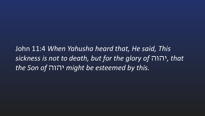John 11:4 When Yahusha heard that, He said, This *sickness is not to death, but for the glory of* יהוה*, that the Son of* יהוה *might be esteemed by this.*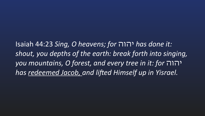Isaiah 44:23 *Sing, O heavens; for* יהוה *has done it: shout, you depths of the earth: break forth into singing, you mountains, O forest, and every tree in it: for* יהוה has redeemed Jacob, and lifted Himself up in Yisrael.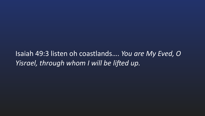Isaiah 49:3 listen oh coastlands.... You are My Eved, O *Yisrael, through whom I will be lifted up.*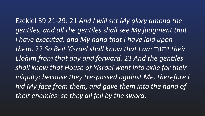Ezekiel 39:21-29: 21 And *I* will set My glory among the *gentiles, and all the gentiles shall see My judgment that* I have executed, and My hand that I have laid upon *them.* 22 *So Beit Yisrael shall know that I am* יהוה *their Elohim from that day and forward.* 23 And the gentiles **Shall know that House of Yisrael went into exile for their** *iniquity:* because they trespassed against Me, therefore I *hid My face from them, and gave them into the hand of their enemies: so they all fell by the sword.*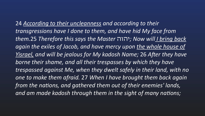**24 According to their uncleanness and according to their** transgressions have I done to them, and have hid My face from *them.*25 *Therefore this says the Master* יהוה *;Now will I bring back* again the exiles of Jacob, and have mercy upon the whole house of *Yisrael, and will be jealous for My kadosh Name;* 26 After they have borne their shame, and all their *trespasses* by which they have trespassed against Me, when they dwelt safely in their land, with no *one to make them afraid.* 27 *When I have brought them back again* from the nations, and gathered them out of their enemies' lands, and am made kadosh through them in the sight of many nations;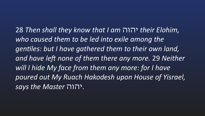28 *Then shall they know that I am* יהוה *their Elohim,* who caused them to be led into exile among the gentiles: but I have gathered them to their own land, and have left none of them there any more. 29 Neither will I hide My face from them any more: for I have *poured out My Ruach Hakodesh upon House of Yisrael,*  says the Master  $\blacksquare$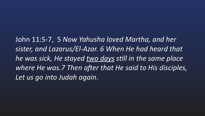John 11:5-7, 5 Now Yahusha loved Martha, and her sister, and Lazarus/El-Azar. 6 When He had heard that *he* was sick, He stayed two days still in the same place where He was.7 Then after that He said to His disciples, *Let us go into Judah again*.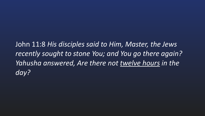John 11:8 His disciples said to Him, Master, the Jews recently sought to stone You; and You go there again? Yahusha answered, Are there not twelve hours in the *day?*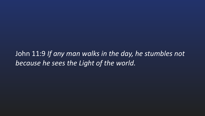John 11:9 *If any man walks in the day, he stumbles not*  because he sees the Light of the world.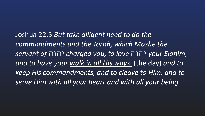Joshua 22:5 *But take diligent heed to do the* commandments and the Torah, which Moshe the *servant of* יהוה *charged you, to love* יהוה *your Elohim,* and to have your walk in all His ways, (the day) and to *keep His commandments, and to cleave to Him, and to*  serve Him with all your heart and with all your being.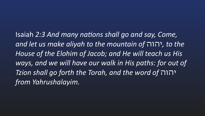Isaiah 2:3 And many nations shall go and say, Come, *and let us make aliyah to the mountain of* יהוה*, to the* House of the Elohim of Jacob; and He will teach us His ways, and we will have our walk in His paths: for out of *Tzion shall go forth the Torah, and the word of* יהוה *from Yahrushalayim.*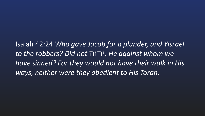Isaiah 42:24 *Who gave Jacob for a plunder, and Yisrael to the robbers? Did not* יהוה*, He against whom we* **have sinned? For they would not have their walk in His** *ways, neither were they obedient to His Torah.*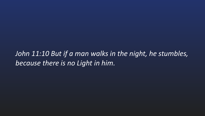*John 11:10 But if a man walks in the night, he stumbles,* because there is no Light in him.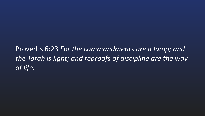Proverbs 6:23 For the commandments are a lamp; and the Torah is light; and reproofs of discipline are the way *of life.*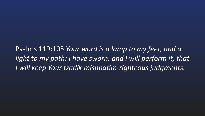Psalms 119:105 *Your word is a lamp to my feet, and a light to my path; I have sworn, and I will perform it, that I* will keep Your tzadik mishpatim-righteous judgments.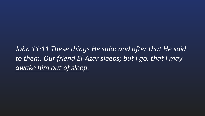*John 11:11 These things He said: and after that He said* to them, Our friend El-Azar sleeps; but I go, that I may *awake him out of sleep.*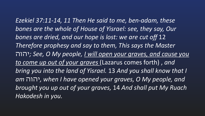Ezekiel 37:11-14, 11 Then He said to me, ben-adam, these bones are the whole of House of Yisrael: see, they say, Our bones are dried, and our hope is lost: we are cut off 12 Therefore prophesy and say to them, This says the Master יהוה *;See, O My people, I will open your graves, and cause you to come up out of your graves* (Lazarus comes forth), and *bring you into the land of Yisrael.* 13 And you shall know that I *am* יהוה*, when I have opened your graves, O My people, and brought you up out of your graves, 14 And shall put My Ruach Hakodesh in you.*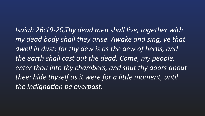*Isaiah 26:19-20,Thy dead men shall live, together with my dead body shall they arise. Awake and sing, ye that*  dwell in dust: for thy dew is as the dew of herbs, and the earth shall cast out the dead. Come, my people, enter thou into thy chambers, and shut thy doors about thee: hide thyself as it were for a little moment, until the indignation be overpast.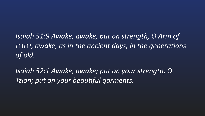*Isaiah 51:9 Awake, awake, put on strength, O Arm of*  יהוה, awake, as in the ancient days, in the generations *of old.* 

*Isaiah 52:1 Awake, awake; put on your strength, O Tzion; put on your beautiful garments.*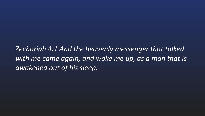*Zechariah 4:1 And the heavenly messenger that talked with* me came again, and woke me up, as a man that is *awakened out of his sleep.*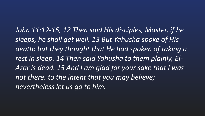*John 11:12-15, 12 Then said His disciples, Master, if he*  sleeps, he shall get well. 13 But Yahusha spoke of His death: but they thought that He had spoken of taking a rest in sleep. 14 Then said Yahusha to them plainly, El-Azar is dead. 15 And I am glad for your sake that I was not there, to the intent that you may believe; nevertheless let us go to him.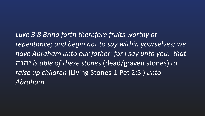Luke 3:8 Bring forth therefore fruits worthy of repentance; and begin not to say within yourselves; we *have Abraham unto our father: for I say unto you; that* יהוה *is able of these stones* (dead/graven stones) *to* raise up children (Living Stones-1 Pet 2:5) unto *Abraham.*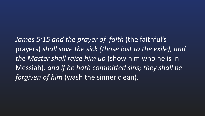James 5:15 and the prayer of faith (the faithful's prayers) shall save the sick (those lost to the exile), and *the Master shall raise him up* (show him who he is in Messiah); and if he hath committed sins; they shall be *forgiven of him* (wash the sinner clean).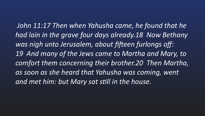*John 11:17 Then when Yahusha came, he found that he* had lain in the grave four days already.18 Now Bethany *was nigh unto Jerusalem, about fi\_een furlongs off:* 19 And many of the Jews came to Martha and Mary, to comfort them concerning their brother.20 Then Martha, **as soon as she heard that Yahusha was coming, went** and met him: but Mary sat still in the house.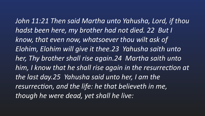*John 11:21 Then said Martha unto Yahusha, Lord, if thou hadst been here, my brother had not died. 22 But I*  know, that even now, whatsoever thou wilt ask of **Elohim, Elohim will give it thee.23 Yahusha saith unto** her, Thy brother shall rise again.24 Martha saith unto him, I know that he shall rise again in the resurrection at the last day.25 Yahusha said unto her, I am the resurrection, and the life: he that believeth in me, *though he were dead, yet shall he live:*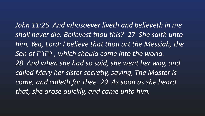John 11:26 And whosoever liveth and believeth in me *shall never die. Believest thou this? 27 She saith unto*  **him, Yea, Lord: I believe that thou art the Messiah, the** *Son of* יהוה *, which should come into the world.* 28 And when she had so said, she went her way, and *called Mary her sister secretly, saying, The Master is*  come, and calleth for thee. 29 As soon as she heard that, she arose quickly, and came unto him.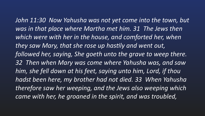*John 11:30 Now Yahusha was not yet come into the town, but was in that place where Martha met him.* 31 The Jews then which were with her in the house, and comforted her, when they saw Mary, that she rose up hastily and went out, followed her, saying, She goeth unto the grave to weep there. *32 Then when Mary was come where Yahusha was, and saw him, she fell down at his feet, saying unto him, Lord, if thou hadst been here, my brother had not died. 33 When Yahusha*  therefore saw her weeping, and the Jews also weeping which came with her, he groaned in the spirit, and was troubled,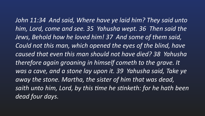*John 11:34 And said, Where have ye laid him? They said unto* him, Lord, come and see. 35 Yahusha wept. 36 Then said the *Jews, Behold how he loved him! 37 And some of them said,*  Could not this man, which opened the eyes of the blind, have *caused that even this man should not have died? 38 Yahusha*  therefore again groaning in himself cometh to the grave. It *was a cave, and a stone lay upon it. 39 Yahusha said, Take ye* away the stone. Martha, the sister of him that was dead, *saith unto him, Lord, by this time he stinketh: for he hath been dead four days.*